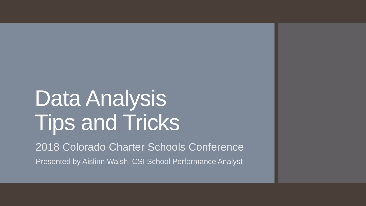# Data Analysis Tips and Tricks

2018 Colorado Charter Schools Conference Presented by Aislinn Walsh, CSI School Performance Analyst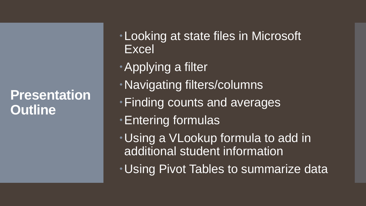#### **Presentation Outline**

- Looking at state files in Microsoft Excel
- Applying a filter
- Navigating filters/columns
- Finding counts and averages
- Entering formulas
- Using a VLookup formula to add in additional student information
- Using Pivot Tables to summarize data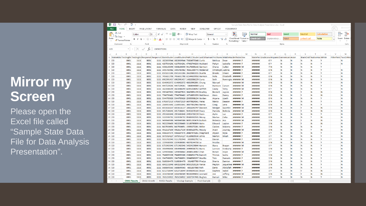#### **Mirror my Screen**

Please open the Excel file called "Sample State Data File for Data Analysis Presentation".

|                 | <b>xii</b>                   | $6 - 10 - 10 = 10$          |          |                    |                                  |                              |                 |                                                                                                                                              |               |                             |                                    |                       |                    |                   | Sample State Data File for Data Analysis Presentation.xlsx - Excel |                |           |                                        |              |                    |              |    |                          |
|-----------------|------------------------------|-----------------------------|----------|--------------------|----------------------------------|------------------------------|-----------------|----------------------------------------------------------------------------------------------------------------------------------------------|---------------|-----------------------------|------------------------------------|-----------------------|--------------------|-------------------|--------------------------------------------------------------------|----------------|-----------|----------------------------------------|--------------|--------------------|--------------|----|--------------------------|
|                 | FILE<br><b>HOME</b>          | INSERT                      |          | PAGE LAYOUT        | FORMULAS                         | DATA                         | REVIEW          | VIEW                                                                                                                                         | DEVELOPER     | OFFCAT                      |                                    | POWERPIVOT            |                    |                   |                                                                    |                |           |                                        |              |                    |              |    |                          |
|                 | ومتلق<br>oo Cut              |                             | Calibri  | $\frac{1}{11}$     | $A^{\uparrow}$<br>$\overline{A}$ | $\epsilon = \epsilon$<br>$=$ | 89 -            | Wrap Text                                                                                                                                    | General       |                             |                                    | 囔                     |                    | Normal            | <b>Bad</b>                                                         | Good           |           | <b>Neutral</b>                         |              | <b>Calculation</b> |              | ŧ  | $\mathbb{R}$             |
| Paste           | lin Copy 。<br>Format Painter |                             |          | ⊞ +                |                                  |                              |                 | $\langle \mathbf{A} \cdot \mathbf{A} \cdot   \equiv \equiv \equiv   \in \equiv   \equiv  $ Merge & Center $\sim$                             |               | $$ - % +$                   | $\frac{6.0}{00}$ - $\frac{00}{10}$ | Conditional Format as |                    | <b>Check Cell</b> | Explanatory                                                        | Input          |           | Linked Cell                            |              | <b>Note</b>        |              |    | Insert Delete            |
|                 | Clipboard                    | $\overline{\mathbb{F}_M}$ . |          | Font               | $\overline{\mathbb{F}_2}$        |                              | Alignment       |                                                                                                                                              | Б.            | Number                      | $\overline{\mathbb{F}_M}$          | Formatting *          | Table <sup>-</sup> |                   |                                                                    | Styles         |           |                                        |              |                    |              |    | Cells                    |
| H <sub>23</sub> |                              |                             | $\times$ | Ťx                 | 15050272281                      |                              |                 |                                                                                                                                              |               |                             |                                    |                       |                    |                   |                                                                    |                |           |                                        |              |                    |              |    |                          |
|                 |                              |                             |          |                    |                                  |                              |                 |                                                                                                                                              |               |                             |                                    |                       |                    |                   |                                                                    |                |           |                                        |              |                    |              |    |                          |
|                 | $\Delta$                     | B                           | C        | D                  | Ε                                | Æ                            | G               | н<br>1 StateAbbr TestingDi: TestingScl Responsit Responsit StateStuden LocalStuden PARCCStuder LastOrSurnan FirstName MiddleNa Birthdate Sex | $\mathbf I$   | J.                          | K                                  | L.                    | M                  | N                 | $\circ$<br>p<br>StateFie GradeLev(HispanicO AmericanI Asian        | $\circ$        | R         | -S<br><b>BlackOrAf NativeHav White</b> | $\mathbf{T}$ | U                  | $\mathsf{V}$ |    | W<br>FillerField TwoOrMo |
|                 | $2$ CO                       | 8001                        | 1111     | 8001               |                                  |                              |                 | 1111 1822639544 1822639544 73824573348 Curtis                                                                                                |               | Melissa                     | Dean                               | ####### F             |                    | #######           | 6 Y                                                                | N<br>N         |           | N                                      | N            | Y                  |              | 'N |                          |
|                 | 3 CO                         | 8001                        | 1111     | 8001               |                                  |                              |                 | 1111 4157934291 4157934291 47492744233 Hubbard                                                                                               |               | Paityn                      | Izabella                           | <b>#######</b> F      |                    | #######           | 6 Y                                                                | N<br>N         |           | N                                      | N            | <b>V</b>           |              | N  |                          |
|                 | 4 CO                         | 8001                        | 1111     | 8001               |                                  |                              |                 | 1111 4358130590 4358130590 94176300142 Garrison                                                                                              |               | Chana                       | Cullen                             | ####### M             |                    | #######           | 7 N                                                                | N<br>N         |           | $\mathbb N$                            | N            | <b>V</b>           |              |    |                          |
|                 | $5$ CO                       | 8001                        | 1111     | 8001               |                                  |                              |                 | 1111 3495783982 3495783982 78561300773 Mcdaniel                                                                                              |               | Christoph Justine           |                                    | <b>####### F</b>      |                    | #######           | 8 N                                                                | N<br>N         |           | N                                      | N            | <b>V</b>           |              | N  |                          |
|                 | 6 CO                         | 8001                        | 1111     | 8001               |                                  |                              |                 | 1111 8501653286 8501653286 26620881035 Duarte                                                                                                |               | <b>Brooks</b>               | Eileen                             | ####### F             |                    | #######           | 8 Y                                                                | N<br>N         |           | N                                      | N            | <b>V</b>           |              | N  |                          |
|                 | $7$ CO                       | 8001                        | 1111     | 8001               |                                  |                              |                 | 1111 7456651708 7456651708 61544659958 Harmon                                                                                                |               | <b>Nola</b>                 |                                    | Elizabeth ####### F   |                    | #######           | 8 N                                                                | N<br>N         |           | N                                      | N            | <b>Y</b>           |              | N  |                          |
|                 | 8 CO                         | 8001                        | 1111     | 8001               |                                  |                              |                 | 1111 6902991457 6902991457 14832086229 Curry                                                                                                 |               | Seth                        |                                    | Remingto ####### M    |                    | #######           | 8 N                                                                | N<br>N         |           | N                                      | N            | <b>Y</b>           |              | N  |                          |
|                 | $9$ CO                       | 8001                        | 1111     | 8001               |                                  |                              |                 | 1111 6146902072 6146902072 48810992891 Chung                                                                                                 |               | Manuel                      |                                    | ####### M             |                    | #######           | 8 N                                                                | N<br>N         |           | N                                      | N            | <b>Y</b>           |              | N  |                          |
| $10$ CO         |                              | 8001                        | 1111     | 8001               |                                  |                              |                 | 1111 4447229261 4447229261 5868044080 Lane                                                                                                   |               | Harrison Carson             |                                    | ####### M             |                    | ********          | <b>8N</b>                                                          | N<br>N         |           | N                                      | N            | <b>V</b>           |              | N  |                          |
| $11$ CO         |                              | 8001                        | 1111     | 8001               |                                  |                              |                 | 1111 1823088299 1823088299 42051036052 Griffith                                                                                              |               | Casey                       | <b>Terry</b>                       | ####### M             |                    | #######           | <b>8Y</b>                                                          | N<br>N         |           | N                                      | N            | N                  |              | N  |                          |
|                 | 12 CO                        | 8001                        | 1111     | 8001               |                                  |                              |                 | 1111 3903407833 3903407833 30429851159 Bradley                                                                                               |               | <b>Beckett</b>              | Jaycee                             | <b>####### F</b>      |                    | #######           | 8 N                                                                | N<br>N         | <b>V</b>  |                                        | N            | N                  |              | N  |                          |
|                 | $13$ CO                      | 8001                        | 1111     | 8001               |                                  |                              |                 | 1111 7746790482 7746790482 10716853359 Matthews                                                                                              |               | Kiara                       | Danny                              | ####### F             |                    | #######           | 8 N                                                                | N<br>N         | <b>V</b>  |                                        | N            | N                  |              | N  |                          |
|                 | $14$ CO                      | 8001                        | 1111     | 8001               |                                  |                              |                 | 1111 5344705626 5344705626 25095908154 Golden                                                                                                |               | Aryana                      | Lizeth                             | ####### M             |                    | #######           | 8 N                                                                | N<br>N         |           | N                                      | N            | <b>Y</b>           |              | N  |                          |
|                 | $15$ CO                      | 8001                        | 1111     | 8001               |                                  |                              |                 | 1111 6765872319 6765872319 66979824561 Velez                                                                                                 |               | Marco                       | Deacon                             | ####### F             |                    | #######           | 8 N                                                                | N<br>N         |           | N                                      | N            | <b>V</b>           |              | N  |                          |
|                 | $16$ CO                      | 8001                        | 1111     | 8001               |                                  |                              |                 | 1111 2160453641 2160453641 30877852966 Hanna                                                                                                 |               | Craig                       | Lena                               | ####### M             |                    | #######           | 8 N                                                                | N<br>N         |           | N                                      | N            | <b>V</b>           |              | N  |                          |
|                 | $17$ CO                      | 8001                        | 1111     | 8001               |                                  |                              |                 | 1111 6033616137 6033616137 10816343747 Dawson                                                                                                |               | Morgan                      | Quentin                            | ####### M             |                    | #######           | 8 N                                                                | N<br>N         | <b>IV</b> |                                        | N            | N                  |              | N  |                          |
| 18 CO           |                              | 8001                        | 1111     | 8001               |                                  |                              |                 | 1111 3057586641 3057586641 93453370169 Sharp                                                                                                 |               | Pamela                      | Belinda                            | ####### M             |                    | #######           | 8 N                                                                | N<br>N         | ١v        |                                        | N            | N                  |              | N  |                          |
|                 | $19$ CO                      | 8001                        | 1111     | 8001               |                                  |                              |                 | 1111 2955683848 2955683848 24953750159 Stein                                                                                                 |               | <b>Aylin</b>                | Luz                                | ####### F             |                    | #######           | 8Y                                                                 | N<br>N         |           | N                                      | N            | <b>V</b>           |              | N  |                          |
| 20 CO           |                              | 8001                        | 1111     | 8001               |                                  |                              |                 | 1111 1323506732 1323506732 95683332535 Mccov                                                                                                 |               | Marlee                      | Celia                              | ####### M             |                    | #######           | 8 N                                                                | N<br>N         |           | N                                      | Y            | N                  |              | N  |                          |
|                 | $21$ CO                      | 8001                        | 1111     | 8001               |                                  |                              |                 | 1111 9490645086 9490645086 86951393476 Bullock                                                                                               |               | Rebecca                     | Asa                                | ####### M             |                    | #######           | 3 N                                                                | N<br>N         | <b>IY</b> |                                        | N            | N                  |              | N  |                          |
| 22 CO           |                              | 8001                        | 1111     | 8001               |                                  |                              |                 | 1111 9622258400 9622258400 33180769899 Hahn                                                                                                  |               | Edward                      | Layton                             | ####### F             |                    | #######           | 3N                                                                 | N<br>N         | <b>V</b>  |                                        | N            | N                  |              | N  |                          |
| 23 CO           |                              | 8001                        | 1111     | 8001               |                                  |                              |                 | 1111 8437636651 8437636651 15050272281 Miller                                                                                                |               | Caiden                      | Makena                             | ####### F             |                    | #######           | 3N                                                                 | N<br>N         |           | N                                      | N            | <b>v</b>           |              | N  |                          |
| 24 CO           |                              | 8001                        | 1111     | 8001               |                                  |                              |                 | 1111 4912117130 4912117130 65365123751 Moody                                                                                                 |               | Averi                       | Journey                            | ####### M             |                    | #######           | 3N                                                                 | N<br>N         |           | N                                      | Y            | N                  |              | N  |                          |
| 25 CO           |                              | 8001                        | 1111     | 8001               |                                  |                              |                 | 1111 4466107575 4466107575 20887473261 Shepherd                                                                                              |               | Alyson                      | Myla                               | ####### F             |                    | #######           | 3Y                                                                 | N<br>N         |           | N                                      | N            | Ñ                  |              | N  |                          |
| 26 CO           |                              | 8001                        | 1111     | 8001               |                                  |                              |                 | 1111 5075914127 5075914127 41169839534 Johns                                                                                                 |               | Marlon                      | Micah                              | ####### F             |                    | #######           | 3 Y                                                                | N<br>N         |           | N                                      | N            | <b>Y</b>           |              | N  |                          |
|                 | $27$ CO                      | 8001                        | 1111     | 8001               |                                  |                              |                 | 1111 9151702940 9151702940 3033902792 Yu                                                                                                     |               | <b>Davian</b>               |                                    | ####### F             |                    | #######           | 3Y                                                                 | N<br>N         |           | N                                      | N            | <b>Y</b>           |              | N  |                          |
|                 | 28 CO                        | 8001                        | 1111     | 8001               |                                  |                              |                 | 1111 1559380003 1559380003 48078144738 Le                                                                                                    |               | <b>Nicolas</b>              |                                    | ####### M             |                    | #######           | 3N                                                                 | N<br>N         |           | N                                      | N            | <b>Y</b>           |              | N  |                          |
|                 | 29 CO                        | 8001                        | 1111     | 8001               |                                  |                              |                 | 1111 8751965046 8751965046 54024159844 Hansen                                                                                                |               | Iliana                      | <b>Brayan</b>                      | ####### M             |                    | #######           | 3Y                                                                 | N<br>N         |           | N                                      | N            | <b>V</b>           |              | N  |                          |
|                 | $30$ $CO$                    | 8001                        | 1111     | 8001               |                                  |                              |                 | 1111 1934998406 1934998406 24999506755 Harris                                                                                                |               | Lennon                      | Kimberly                           | <b>#######</b> F      |                    | #######           | 3N                                                                 | N<br>N         |           | N                                      | N            | <b>V</b>           |              | N  |                          |
| 31 CO           |                              | 8001                        | 1111     | 8001               |                                  |                              |                 | 1111 3299058843 3299058843 28949116902 Chan                                                                                                  |               | Ronan                       | Hope                               | ####### M             |                    | #######           | 3Y                                                                 | N<br>N         |           | N                                      | N            | <b>Y</b>           |              | N  |                          |
| 32 CO           |                              | 8001                        | 1111     | 8001               |                                  |                              |                 | 1111 7946659306 7946659306 23684521774 Barnett                                                                                               |               | <b>Triston</b>              | Sasha                              | ####### F             |                    | #######           | 3N                                                                 | N<br>N         |           | N                                      | N            | <b>Y</b>           |              | N  |                          |
| 33 CO           |                              | 8001                        | 1111     | 8001               |                                  |                              |                 | 1111 3947968853 3947968853 35848569297 Murillo                                                                                               |               | Tate                        | <b>Damaris</b>                     | ####### F             |                    | #######           | 3N                                                                 | N<br>N         |           | N                                      | N            | <b>Y</b>           |              | N  |                          |
|                 | 34 CO                        | 8001                        | 1111     | 8001               |                                  |                              |                 | 1111 9168384470 9168384470 3014857789 Phelps                                                                                                 |               | Shania                      | Damian                             | ####### F             |                    | #######           | 3N                                                                 | N<br>N         |           | N                                      | N            | Y                  |              | N  |                          |
| 35 CO           |                              | 8001                        | 1111     | 8001               |                                  |                              |                 | 1111 6842132048 6842132048 50551910126 Vance                                                                                                 |               | Peyton                      |                                    | Jaqueline ####### M   |                    | #######           | 3N                                                                 | N<br>N         |           | N                                      | N            | <b>Y</b>           |              | N  |                          |
| 36 CO           |                              | 8001                        | 1111     | 8001               |                                  |                              |                 | 1111 5688849565 5688849565 6831837088 Rich                                                                                                   |               | Dario                       | Abdullah                           | ####### F             |                    | #######           | 3N                                                                 | N<br>N         |           | N                                      | N            | <b>Y</b>           |              | N  |                          |
| 37 CO           |                              | 8001                        | 1111     | 8001               |                                  |                              |                 | 1111 8212718049 8212718049 69398393105 Dixon                                                                                                 |               | Daphne                      | Isabel                             | #######   F           |                    | ********          | 3Y                                                                 | N<br>N         | <b>v</b>  |                                        | N            | N                  |              | N  |                          |
| 38 CO           |                              | 8001                        | 1111     | 8001               |                                  |                              |                 | 1111 1016788569 1016788569 96530394855 Leonard                                                                                               |               | Joe                         | Jeffery                            | ####### M             |                    | #######           | 3N                                                                 | N<br>N         | <b>IY</b> |                                        | N            | N                  |              | N  |                          |
| 39 CO           |                              | 8001                        | 1111     | 8001               |                                  |                              |                 | 1111 7635256922 7635256922 16337147445 Hughes                                                                                                |               | Kamari                      | <b>Mike</b>                        | ####### F             |                    | #######           | 3Y                                                                 | N<br>N         |           | N                                      | N            | <b>Y</b>           |              | N  |                          |
|                 |                              | <b>CMAS Results</b>         |          | <b>CMAS Growth</b> | <b>NWEA Results</b>              |                              | Vlookup Example |                                                                                                                                              | Pivot Example | $\left( \widehat{+}\right)$ |                                    |                       |                    |                   |                                                                    | $\overline{4}$ |           |                                        |              |                    |              |    |                          |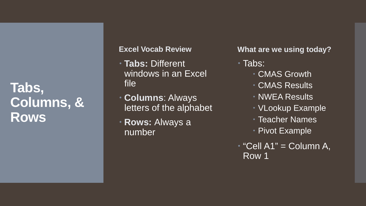#### **Tabs, Columns, & Rows**

#### **Excel Vocab Review**

- **Tabs:** Different windows in an Excel file
- **Columns**: Always letters of the alphabet
- **Rows:** Always a number

**What are we using today?**

Tabs:

- CMAS Growth
- CMAS Results
- NWEA Results
- VLookup Example
- Teacher Names
- Pivot Example
- "Cell A1" = Column A, Row 1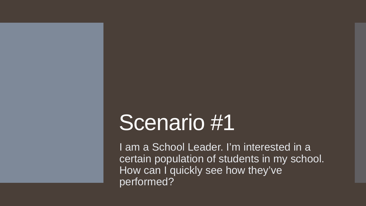I am a School Leader. I'm interested in a certain population of students in my school. How can I quickly see how they've performed?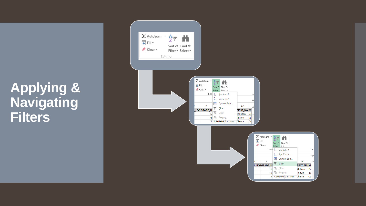## **Applying & Navigating Filters**



 $\boldsymbol{\wedge}$ 

M

◚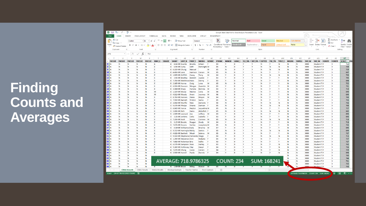## **Finding Counts and Averages**

| FILE                    | Ⅲ 日 ち・♂・<br><b>HOME</b>  | $rac{ABC}{2}$ =<br>INSERT | PAGE LAYOUT                                    | FORMULAS                         | DATA                     | <b>REVIEW</b> | VIEW                                                                                                                                                                                                            | DEVELOPER            | OFFCAT                  |                                    | POWERPIVOT                  |                    | Sample State Data File for Data Analysis Presentation.xlsx - Excel |             |                |                          |           |                |             |                    |              |                                                                |                        |                   |
|-------------------------|--------------------------|---------------------------|------------------------------------------------|----------------------------------|--------------------------|---------------|-----------------------------------------------------------------------------------------------------------------------------------------------------------------------------------------------------------------|----------------------|-------------------------|------------------------------------|-----------------------------|--------------------|--------------------------------------------------------------------|-------------|----------------|--------------------------|-----------|----------------|-------------|--------------------|--------------|----------------------------------------------------------------|------------------------|-------------------|
| alla s<br><b>X</b>      | Cut                      | Calibri                   |                                                | $\mathbf{A} \mathbf{A}$<br>$-11$ | $\epsilon = \frac{1}{2}$ | $\frac{1}{2}$ | Wrap Text                                                                                                                                                                                                       |                      | General                 |                                    |                             |                    | Normal                                                             | <b>Bad</b>  |                | Good                     |           | <b>Neutral</b> |             | <b>Calculation</b> |              | ŧ<br>₷<br>ш                                                    | $\sum$ AutoSum         |                   |
| <b>En</b> Copy<br>Paste |                          |                           |                                                |                                  |                          |               |                                                                                                                                                                                                                 |                      |                         |                                    | F.<br>Conditional Format as |                    | <b>Check Cell</b>                                                  |             | Explanatory    |                          |           | Linked Cell    | <b>Note</b> |                    |              | 田<br>Insert<br>Delete Format                                   | $\overline{\Psi}$ Fill | Sort & Find &     |
|                         | Format Painter           |                           | $B$ $I$ $U$ $\rightarrow$ $\Box$ $\rightarrow$ | $\mathbf{A}$ - $\mathbf{A}$ -    |                          |               | $\equiv \equiv \equiv \in \mathbf{E}$ $\Box$ Merge & Center $\rightarrow$                                                                                                                                       | -S                   | $-96$<br>$\overline{ }$ | $\frac{6.0}{00}$ $\frac{0.0}{0.0}$ | Formatting *                | Table <sup>-</sup> |                                                                    |             |                | Input                    |           |                |             |                    |              |                                                                | Clear .                | Filter * Select * |
| Clipboard               |                          | $\overline{12}$           | Font                                           |                                  | $\mathbb{R}$             | Alignmen      |                                                                                                                                                                                                                 | Б.                   | Number                  | $\overline{\mathrm{Fm}}$           |                             |                    |                                                                    |             |                | Styles                   |           |                |             |                    |              | Cells                                                          |                        | Editing           |
| AT6                     | $\overline{\phantom{a}}$ |                           | $\times$ $\checkmark$<br>fx                    | 713                              |                          |               |                                                                                                                                                                                                                 |                      |                         |                                    |                             |                    |                                                                    |             |                |                          |           |                |             |                    |              |                                                                |                        |                   |
|                         |                          |                           |                                                |                                  |                          |               |                                                                                                                                                                                                                 |                      |                         |                                    |                             |                    |                                                                    |             |                |                          |           |                |             |                    |              |                                                                |                        |                   |
|                         | U                        | $\mathbf{V}$              | W                                              | $\mathsf{x}$                     | <b>V</b>                 | Z             | AB<br>AA                                                                                                                                                                                                        | AC                   | <b>AD</b>               | AE                                 | AF                          | AG                 | AH                                                                 | AI          | AJ.            | AK                       | AL        | AM             | AN          | AO                 |              | AP<br>AQ                                                       | AR<br>AS               | AT                |
|                         |                          |                           |                                                |                                  |                          |               | EXCLUI ~ EXCLUI ~ EXCLUI ~ EXCLUI ~ EXCLUI ~ EMH LI ~ GRADE ~ SASID   ~ LAST N ~ FIRST I ~ IMIDDLI ~ GENDE ~ ETHNIC ~ MINOR ~ LANG I ~ ELL YN -T IEP YN -T GIFTED ~ FRL YN ~ TITLE I ~ MIGRA ~ EXPELLI ~ DID NC |                      |                         |                                    |                             |                    |                                                                    |             |                |                          |           |                |             |                    |              | V DID N( V CONTIN V CONTIN V SCALE   V PRIC                    |                        |                   |
|                         | N                        | N                         | N                                              | 'N                               | Е                        | 8             | 8.5E+09 Duarte                                                                                                                                                                                                  | <b>Brooks</b>        | Eileen                  |                                    | 04                          | ١v                 | $\Omega$                                                           | <b>Y</b>    | ١V<br><b>V</b> | N<br>N                   | <b>Y</b>  | N              | N           | N                  | 0000         | <b>Student T<sub>(Y</sub></b>                                  | Y                      |                   |
|                         | N<br><b>N</b>            | N<br>N                    | <b>N</b><br><b>N</b>                           | N<br>N                           | E<br>Æ                   | 8             | 6.9E+09 Curry                                                                                                                                                                                                   | Seth<br>Manuel       | <b>Remingto M</b>       | M                                  | 05                          | N<br>N             | $\overline{\mathbf{0}}$<br>$\Omega$                                | <b>Y</b>    | <b>Y</b>       | N                        | N<br>N    | N              | N<br>N      | N<br>N             | 0000         | <b>Student T<sub>(</sub>Y</b>                                  | Y<br><b>Y</b>          |                   |
|                         | N                        | N                         | N                                              | N                                | Е                        |               | 8 6.15E+09 Chung                                                                                                                                                                                                |                      |                         | M                                  | 05<br>05                    | N                  | $\mathbf{0}$                                                       | <b>Y</b>    | <b>Y</b>       | N                        | <b>Y</b>  | N<br><b>V</b>  | N           | N                  | 0000<br>0000 | <b>Student T<sub>(</sub>Y</b>                                  | Y                      |                   |
| 11                      | <b>N</b>                 | N                         | <b>N</b>                                       | 'N                               | F                        |               | 8 4.45E+09 Lane<br>8 1.82E+09 Griffith                                                                                                                                                                          | Harrison<br>Casey    | Carson                  | M                                  | 04                          | $\mathbf v$        | $\sqrt{2}$                                                         | <b>V</b>    | <b>V</b>       | N                        | <b>N</b>  | <b>N</b>       | N           | N                  | 0000         | <b>Student T<sub>(</sub>Y</b><br><b>Student T<sub>(</sub>Y</b> | Y                      |                   |
| 12                      | N                        | N                         | N                                              | N                                | Ε                        |               |                                                                                                                                                                                                                 | <b>Beckett</b>       | <b>Terry</b><br>Jaycee  | F                                  | 03                          | $\mathbf{v}$       | $\Omega$                                                           | <b>Y</b>    | Y              | N                        | <b>Y</b>  | <b>V</b>       | N           | N                  | 0000         | <b>Student T<sub>(Y</sub></b>                                  | Y                      |                   |
| 13                      | <b>N</b>                 | N                         | <b>N</b>                                       | N                                | Έ                        |               | 8 3.9E+09 Bradley<br>8 7.75E+09 Matthews Kiara                                                                                                                                                                  |                      | Danny                   | -F                                 | 03                          | $\mathbf v$        | $\Omega$                                                           | <b>v</b>    | v              | N                        | <b>V</b>  | <b>v</b>       | N           | N                  | 0000         | <b>Student T<sub>(</sub>Y</b>                                  | Y                      |                   |
| 16                      | <b>N</b>                 | N                         | <b>N</b>                                       | N                                | Æ                        |               | 8 2.16E+09 Hanna                                                                                                                                                                                                | Craig                | Lena                    | M                                  | 05                          | N                  | $\Omega$                                                           | <b>Y</b>    | <b>V</b>       | N                        | <b>Y</b>  | <b>V</b>       | N           | N                  | 0000         | <b>Student T<sub>(</sub>Y</b>                                  | Y                      |                   |
| 17                      | N                        | N                         | N                                              | N                                | Е                        |               | 8 6.03E+09 Dawson                                                                                                                                                                                               | Morgan               | Quentin                 | M                                  | 03                          | $\mathbf{v}$       | $\overline{0}$                                                     | <b>Y</b>    | Y              | N                        | <b>Y</b>  | <b>V</b>       | N           | N                  | 0000         | <b>Student T<sub>(</sub>Y</b>                                  | Y                      |                   |
| 18                      | N                        | N                         | <b>N</b>                                       | N                                | F                        |               | 8 3.06E+09 Sharp                                                                                                                                                                                                | Pamela               | Belinda                 | M                                  | 03                          | $\mathbf v$        | $\Omega$                                                           | <b>V</b>    | <b>V</b>       | N                        | <b>V</b>  | <b>V</b>       | N           | N                  | 0000         | <b>Student T<sub>(Y</sub></b>                                  | Y                      |                   |
| 20                      | N                        | N                         | N                                              | 'N                               | M                        |               | 8 1.32E+09 Mccoy                                                                                                                                                                                                | Marlee               | Celia                   | M                                  | 06                          | <b>Y</b>           | $\Omega$                                                           | <b>Y</b>    | Y              | N                        | <b>Y</b>  | $\mathbf v$    | N           | N                  | 0000         | <b>Student T<sub>(</sub>Y</b>                                  | Y                      |                   |
| 24                      | <b>N</b>                 | N                         | N                                              | N                                | M                        |               | 3 4.91E+09 Moody                                                                                                                                                                                                | Averi                | Journey                 | M                                  | 06                          | $\mathbf v$        | $\Omega$                                                           | <b>v</b>    | $\mathbf v$    | N                        | <b>V</b>  | <b>v</b>       | N           | N                  | 0000         | <b>Student T<sub>(</sub>Y</b>                                  | Y                      |                   |
| 29                      | <b>N</b>                 | N                         | <b>N</b>                                       | N                                | Æ                        |               | 3 8.75E+09 Hansen                                                                                                                                                                                               | Iliana               | Brayan                  | M                                  | 04                          | $\mathbf v$        | $\Omega$                                                           | <b>Y</b>    | <b>V</b>       | N                        | <b>Y</b>  | <b>V</b>       | N           | N                  | 0000         | <b>Student T<sub>(</sub>Y</b>                                  | Y                      |                   |
| 32                      | N                        | N                         | N                                              | 'N                               | Е                        |               | 3 7.95E+09 Barnett                                                                                                                                                                                              | <b>Triston</b>       | Sasha                   |                                    | 05                          | N                  | $\Omega$                                                           | <b>Y</b>    | <b>V</b>       | N                        | <b>Y</b>  | <b>Y</b>       | N           | N                  | 0000         | <b>Student T<sub>(</sub>Y</b>                                  | Y                      |                   |
| 33                      | N                        | N                         | <b>N</b>                                       | N                                | F                        |               | 3 3.95E+09 Murillo                                                                                                                                                                                              | Tate                 | Damaris F               |                                    | 05                          | N                  | $\Omega$                                                           | <b>V</b>    | v              | N                        | N         | N              | N           | N                  | 0000         | <b>Student T<sub>(</sub>Y</b>                                  | Y                      |                   |
|                         | N                        | N                         | N                                              | N                                | Ε                        |               | 3 9.17E+09 Phelps                                                                                                                                                                                               | Shania               | Damian                  |                                    | 05                          | N                  | $\Omega$                                                           | <b>Y</b>    | Y              | N                        | N         | N              | N           | N                  | 0000         | <b>Student T<sub>(</sub>Y</b>                                  | Y                      |                   |
| 35                      | <b>N</b>                 | N                         | N                                              | N                                | Ε                        |               | 3 6.84E+09 Vance                                                                                                                                                                                                | Peyton               | Jaqueline M             |                                    | 05                          | N                  | $\Omega$                                                           | <b>V</b>    | $\mathbf v$    | N                        | <b>V</b>  | <b>V</b>       | N           | N                  | 0000         | <b>Student T<sub>(</sub>Y</b>                                  | Y                      |                   |
| 36                      | <b>N</b>                 | <b>N</b>                  | <b>N</b>                                       | N                                | F                        |               | 3 5.69E+09 Rich                                                                                                                                                                                                 | Dario                | Abdullah F              |                                    | 05                          | N                  | $\overline{0}$                                                     | <b>Y</b>    | <b>V</b>       | N                        | N         | <b>N</b>       | N           | N                  | 0000         | <b>Student TrY</b>                                             | Y                      |                   |
|                         | N                        | N                         | N                                              | N                                | Ε                        |               | 3 1.02E+09 Leonard                                                                                                                                                                                              | Joe                  | Jeffery                 | $\mathsf{M}$                       | 03                          | $\mathbf{v}$       | $\Omega$                                                           | <b>Y</b>    | Y              | N                        | <b>Y</b>  | <b>Y</b>       | N           | N                  | 0000         | <b>Student T<sub>(</sub>Y</b>                                  | Y                      |                   |
|                         | N                        | N                         | N                                              | N                                | F                        |               | 3 3.2E+09 Jenkins                                                                                                                                                                                               | Celia                | Isabella                | I.                                 | 03                          | $\mathbf v$        | $\Omega$                                                           | <b>V</b>    | Y              | N                        | <b>V</b>  | <b>V</b>       | N           | N                  | 0000         | <b>Student T<sub>(</sub>Y</b>                                  | Y                      |                   |
| 42                      | N                        | N                         | N                                              | N                                | Ε                        |               | 3 7.23E+09 Koch                                                                                                                                                                                                 | Sonny                | Corinne M               |                                    | 05                          | N                  | $\Omega$                                                           | <b>Y</b>    | Y              | N                        | N         | N              | N           | N                  | 0000         | <b>Student T<sub>(Y</sub></b>                                  | Y                      |                   |
|                         | N                        | N                         | N                                              | N                                | Е                        |               | 3 3.1E+09 Brooks                                                                                                                                                                                                | Reagan               | Grady                   | M                                  | 04                          | $\mathbf v$        | $\Omega$                                                           | <b>V</b>    | $\mathbf v$    | N                        | <b>V</b>  | <b>V</b>       | N           | N                  | 0000         | <b>Student T<sub>(</sub>Y</b>                                  | v                      |                   |
|                         | <b>N</b>                 | <b>N</b>                  | <b>N</b>                                       | N                                | F                        |               | 3 7.67E+09 Downs                                                                                                                                                                                                | Yaritza              | Josephine M             |                                    | 05                          | N                  | $\overline{0}$                                                     | <b>Y</b>    | <b>V</b>       | N                        | <b>Y</b>  | <b>V</b>       | N           | N                  | 0000         | <b>Student T<sub>(Y</sub></b>                                  | Y                      |                   |
|                         | N                        | N                         | N                                              | N                                | Ε                        |               | 3 4.3E+09 Williamso Kaila                                                                                                                                                                                       |                      | <b>Brianna</b>          | M                                  | 07                          | <b>V</b>           | $\Omega$                                                           | <b>Y</b>    | Y              | N                        | <b>Y</b>  | <b>V</b>       | N           | N                  | 0000         | Student T <sub>(Y</sub>                                        | Y                      |                   |
|                         | <b>N</b>                 | N                         | N                                              | N                                | E                        |               | 3 9.71E+09 Harringtor Molly                                                                                                                                                                                     |                      | Santos                  | E                                  | 05                          | N                  | $\Omega$                                                           | <b>V</b>    | v              | N                        | N         | <b>N</b>       | N           | N                  | 0000         | <b>Student T<sub>(</sub>Y</b>                                  | <b>Y</b>               |                   |
| 50                      | N                        | N                         | N                                              | N                                | E                        |               | 3 4.62E+09 Bartlett Micah                                                                                                                                                                                       |                      | Selena                  | M                                  | 05                          | N                  | $\Omega$                                                           | <b>Y</b>    | Y              | N                        | <b>Y</b>  | <b>V</b>       | N           | N                  | 0000         | <b>Student T<sub>(Y</sub></b>                                  | Y                      |                   |
| 51                      | N                        | N                         | N                                              | N                                | Ε                        |               | 3 9.55E+09 Stephens Fernanda Diego                                                                                                                                                                              |                      |                         | E                                  | 04                          | $\mathbf v$        | $\Omega$                                                           | $\mathbf v$ | $\mathbf v$    | N                        | N         | N              | N           | ${\sf N}$          | 0000         | Student T <sub>(Y</sub>                                        | <b>Y</b>               |                   |
| $52$ N                  | <b>N</b>                 | <b>N</b>                  | <b>N</b>                                       | N                                | F                        |               | 4 1.29E+09 Stevensor Zion                                                                                                                                                                                       |                      | Makaila                 |                                    | 05                          | N                  | $\overline{0}$                                                     | <b>Y</b>    | <b>V</b>       | N                        | <b>Y</b>  | <b>V</b>       | N           | N                  | 0000         | <b>Student T<sub>(Y</sub></b>                                  | Y                      |                   |
| 53                      | N                        | N                         | N                                              | N                                | Ε                        |               | 4 7.66E+09 Robertsor Bria                                                                                                                                                                                       |                      | Kallie                  |                                    | 03                          | <b>Y</b>           | $\Omega$                                                           | <b>Y</b>    | Y              | N                        | <b>Y</b>  | <b>Y</b>       | N           | N                  | 0000         | <b>Student T<sub>(</sub>Y</b>                                  | Y                      |                   |
| 55                      | <b>N</b>                 | N                         | <b>N</b>                                       | N                                | Е                        |               | 4 6.57E+09 Sampson Ross                                                                                                                                                                                         |                      | Harley                  | F                                  | 03                          | $\mathbf v$        | $\Omega$                                                           | <b>V</b>    | <b>Y</b>       | N                        | <b>IV</b> | N              | N           | N                  | 0000         | <b>Student T<sub>(</sub>Y</b>                                  | <b>Y</b>               |                   |
|                         | N                        | N                         | N                                              | N                                | E                        |               | 4 9.26E+09 Holloway Clay                                                                                                                                                                                        |                      | Gavyn                   |                                    | 04                          | <b>Y</b>           | $\Omega$                                                           | <b>Y</b>    | Y              | N                        | Y         | N              | N           | N                  | 0000         | <b>Student T<sub>(Y</sub></b>                                  | Y                      |                   |
|                         | N                        | N                         | N                                              | N                                | Ε                        |               | 4 7.17E+09 Chang                                                                                                                                                                                                | Isaias               | Carsen                  |                                    | 04                          | $\mathbf v$        | $\Omega$                                                           | $\mathbf v$ | $\mathbf v$    | N                        | <b>V</b>  | $\mathbb N$    | N           | N                  | 0000         | Student T <sub>(Y</sub>                                        | <b>Y</b>               |                   |
| 60                      | <b>N</b>                 | <b>N</b>                  | <b>N</b>                                       | <b>N</b>                         | F                        |               | 4 3.93E+09 Harrell                                                                                                                                                                                              | Paola                | Dennis                  | Æ                                  | 04                          | $\mathbf v$        | $\overline{0}$                                                     | <b>Y</b>    | Y.             | N                        | <b>V</b>  | <b>N</b>       | N           | N                  | 0000         | <b>Student T<sub>(</sub>Y</b>                                  | Y                      |                   |
|                         | N                        | N                         | N                                              | N                                |                          |               |                                                                                                                                                                                                                 |                      |                         |                                    |                             |                    |                                                                    |             |                |                          |           |                | Ν           | N                  | 0000         | <b>Student T<sub>(</sub>Y</b>                                  | Y                      |                   |
| 63                      | N                        | <b>N</b>                  | N                                              | N                                |                          |               |                                                                                                                                                                                                                 |                      |                         |                                    |                             |                    |                                                                    |             |                |                          |           |                | N           | N                  | 0000         | <b>Student T<sub>(</sub>Y</b>                                  | <b>Y</b>               |                   |
| 64                      | N                        | N                         | N                                              | N                                |                          |               | AVERAGE: 718.9786325                                                                                                                                                                                            |                      |                         |                                    |                             |                    | COUNT: 234                                                         |             | SUM: 168241    |                          |           |                | <b>N</b>    | N                  | 0000         | <b>Student T<sub>(Y</sub></b>                                  | Y                      |                   |
| 65                      | N                        | N                         | N                                              | N                                |                          |               |                                                                                                                                                                                                                 |                      |                         |                                    |                             |                    |                                                                    |             |                |                          |           |                |             | $\mathsf{N}$       | 0000         | Student T <sub>(Y</sub>                                        | Y                      |                   |
| 66<br>ΙN                | N                        | N                         | <b>N</b>                                       | <b>N</b>                         |                          |               | 4 1.4E+09 Bruce                                                                                                                                                                                                 | <b>Miley</b>         | <b>Marcel</b>           |                                    | 05                          |                    |                                                                    |             |                |                          |           |                |             | <b>N</b>           | nnnn.        | <b>Student TiY</b>                                             | Y                      |                   |
|                         |                          | <b>CMAS Growth</b>        |                                                |                                  | <b>NWEA Results</b>      |               | Vlookup Example                                                                                                                                                                                                 | <b>Teacher Names</b> |                         | Pivot Example                      | $\bigoplus$                 |                    |                                                                    |             |                | $\mathbb{E}[\mathbb{R}]$ |           |                |             |                    |              |                                                                |                        |                   |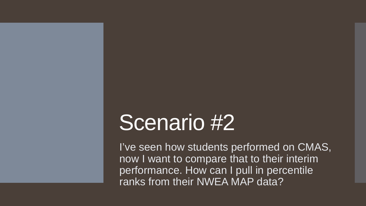I've seen how students performed on CMAS, now I want to compare that to their interim performance. How can I pull in percentile ranks from their NWEA MAP data?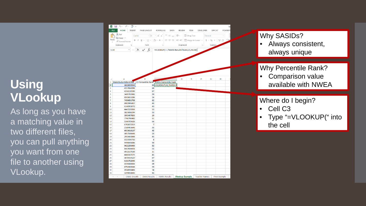#### **Using VLookup**

As long as you have a matching value in two different files, you can pull anything you want from one file to another using VLookup .

|                         | <b>FILE</b><br>HOME<br>INSERT                                       | PAGE LAYOUT    | FORMULAS DATA                                                                                                                                                                                                                                                                                                                                                                                                                                                                   | REVIEW | VIEW               |   | DEVELOPER OFFCAT | POWERPI |  |
|-------------------------|---------------------------------------------------------------------|----------------|---------------------------------------------------------------------------------------------------------------------------------------------------------------------------------------------------------------------------------------------------------------------------------------------------------------------------------------------------------------------------------------------------------------------------------------------------------------------------------|--------|--------------------|---|------------------|---------|--|
|                         | <b>A</b> ob Cut                                                     | Calibri        | $\overline{\mathcal{A}}$ $\overline{\mathcal{A}}$ $\overline{\mathcal{A}}$ $\overline{\mathcal{A}}$ $\overline{\mathcal{B}}$ $\overline{\mathcal{B}}$ $\overline{\mathcal{B}}$ $\overline{\mathcal{B}}$ $\overline{\mathcal{B}}$ $\overline{\mathcal{B}}$ $\overline{\mathcal{B}}$ $\overline{\mathcal{B}}$ $\overline{\mathcal{B}}$ $\overline{\mathcal{B}}$ $\overline{\mathcal{B}}$ $\overline{\mathcal{B}}$ $\overline{\mathcal{B}}$ $\overline{\mathcal{B}}$ $\overline{\$ |        |                    |   | General          |         |  |
|                         | ligh Copy +<br>Paste                                                |                | <b>B</b> $I \perp \perp$ $\parallel$ $\parallel$ $\cdot$ $\parallel$ $\triangle$ $\cdot$ A $\cdot$ $\parallel$ $\equiv$ $\equiv$ $\parallel$ $\equiv$ $\equiv$ $\parallel$ $\equiv$ $\parallel$ $\equiv$ $\parallel$ $\equiv$ $\parallel$ $\equiv$ $\parallel$ $\equiv$ $\parallel$ $\equiv$ $\parallel$ $\equiv$ $\parallel$ $\equiv$ $\parallel$ $\equiv$ $\parallel$ $\equiv$ $\parallel$ $\equiv$ $\parallel$ $\equiv$ $\parallel$ $\equiv$ $\parallel$ $\equiv$            |        |                    |   |                  |         |  |
|                         | Format Painter                                                      |                | <b>Contract Contract</b>                                                                                                                                                                                                                                                                                                                                                                                                                                                        |        | Alignment G Number |   |                  |         |  |
|                         | Clipboard<br>$-\sqrt{2}$                                            | Font           |                                                                                                                                                                                                                                                                                                                                                                                                                                                                                 |        |                    |   |                  |         |  |
|                         | $\overline{\mathbf{v}}$<br><b>SUM</b>                               |                | $\times$ fx = VLOOKUP(A2, 'NWEA Results' !G:AA, 21, FALSE)                                                                                                                                                                                                                                                                                                                                                                                                                      |        |                    |   |                  |         |  |
| ⊿<br>1                  | Α<br>StateStudentIdentifier CO Percentile Rank NWEA Percentile Rank | B              |                                                                                                                                                                                                                                                                                                                                                                                                                                                                                 | D      | E                  | F | G                | н       |  |
| $\overline{\mathbf{2}}$ | 1822639544                                                          |                | 83 = VLOOKUP(A2, 'NWEA R                                                                                                                                                                                                                                                                                                                                                                                                                                                        |        |                    |   |                  |         |  |
| 3                       | 4157934291                                                          | 89             |                                                                                                                                                                                                                                                                                                                                                                                                                                                                                 |        |                    |   |                  |         |  |
| 4                       | 4358130590                                                          | 87             |                                                                                                                                                                                                                                                                                                                                                                                                                                                                                 |        |                    |   |                  |         |  |
| 5                       | 3495783982                                                          | 59             |                                                                                                                                                                                                                                                                                                                                                                                                                                                                                 |        |                    |   |                  |         |  |
| 6                       | 8501653286                                                          | 26             |                                                                                                                                                                                                                                                                                                                                                                                                                                                                                 |        |                    |   |                  |         |  |
| 7                       | 7456651708                                                          | 62             |                                                                                                                                                                                                                                                                                                                                                                                                                                                                                 |        |                    |   |                  |         |  |
| 8                       | 6902991457                                                          | 43             |                                                                                                                                                                                                                                                                                                                                                                                                                                                                                 |        |                    |   |                  |         |  |
| 9                       | 6146902072                                                          | 43             |                                                                                                                                                                                                                                                                                                                                                                                                                                                                                 |        |                    |   |                  |         |  |
| 10                      | 4447229261                                                          | 13             |                                                                                                                                                                                                                                                                                                                                                                                                                                                                                 |        |                    |   |                  |         |  |
| 11                      | 1823088299                                                          | 33             |                                                                                                                                                                                                                                                                                                                                                                                                                                                                                 |        |                    |   |                  |         |  |
| 12                      | 3903407833                                                          | 19             |                                                                                                                                                                                                                                                                                                                                                                                                                                                                                 |        |                    |   |                  |         |  |
| 13                      | 7746790482                                                          | 11             |                                                                                                                                                                                                                                                                                                                                                                                                                                                                                 |        |                    |   |                  |         |  |
| 14                      | 5344705626                                                          | 66             |                                                                                                                                                                                                                                                                                                                                                                                                                                                                                 |        |                    |   |                  |         |  |
| 15                      | 6765872319                                                          | $\overline{7}$ |                                                                                                                                                                                                                                                                                                                                                                                                                                                                                 |        |                    |   |                  |         |  |
| 16                      | 2160453641                                                          | 35             |                                                                                                                                                                                                                                                                                                                                                                                                                                                                                 |        |                    |   |                  |         |  |
| 17                      | 6033616137                                                          | 45             |                                                                                                                                                                                                                                                                                                                                                                                                                                                                                 |        |                    |   |                  |         |  |
| 18                      | 3057586641                                                          | 23             |                                                                                                                                                                                                                                                                                                                                                                                                                                                                                 |        |                    |   |                  |         |  |
| 19                      | 2955683848                                                          | 45             |                                                                                                                                                                                                                                                                                                                                                                                                                                                                                 |        |                    |   |                  |         |  |
| 20                      | 1323506732                                                          | 8              |                                                                                                                                                                                                                                                                                                                                                                                                                                                                                 |        |                    |   |                  |         |  |
| 21                      | 9490645086                                                          | 90             |                                                                                                                                                                                                                                                                                                                                                                                                                                                                                 |        |                    |   |                  |         |  |
| 22                      | 9622258400                                                          | 82             |                                                                                                                                                                                                                                                                                                                                                                                                                                                                                 |        |                    |   |                  |         |  |
| 23                      | 8437636651                                                          | 55             |                                                                                                                                                                                                                                                                                                                                                                                                                                                                                 |        |                    |   |                  |         |  |
| 24                      | 4912117130                                                          | 11             |                                                                                                                                                                                                                                                                                                                                                                                                                                                                                 |        |                    |   |                  |         |  |
| 25                      | 4466107575                                                          | 45             |                                                                                                                                                                                                                                                                                                                                                                                                                                                                                 |        |                    |   |                  |         |  |
| 26                      | 5075914127                                                          | 87             |                                                                                                                                                                                                                                                                                                                                                                                                                                                                                 |        |                    |   |                  |         |  |
| 27                      | 9151702940                                                          | 93             |                                                                                                                                                                                                                                                                                                                                                                                                                                                                                 |        |                    |   |                  |         |  |
| 28                      | 1559380003                                                          | 69             |                                                                                                                                                                                                                                                                                                                                                                                                                                                                                 |        |                    |   |                  |         |  |
|                         | 8751965046                                                          | 59             |                                                                                                                                                                                                                                                                                                                                                                                                                                                                                 |        |                    |   |                  |         |  |
| 29                      |                                                                     |                |                                                                                                                                                                                                                                                                                                                                                                                                                                                                                 |        |                    |   |                  |         |  |
| 30                      | 1934998406                                                          | 74             |                                                                                                                                                                                                                                                                                                                                                                                                                                                                                 |        |                    |   |                  |         |  |

Why SASIDs?<br>• Always consistent, always unique

## Why Percentile Rank?<br>• Comparison value

available with NWEA

#### Where do I begin?

- Cell C3
- Type "=VLOOKUP(" into the cell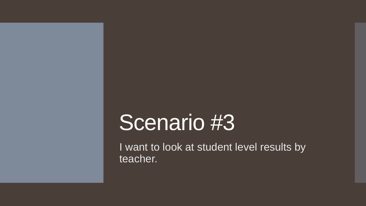I want to look at student level results by teacher.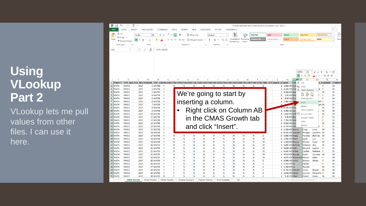#### **Using VLookup Part 2**

VLookup lets me pull values from other files. I can use it here.

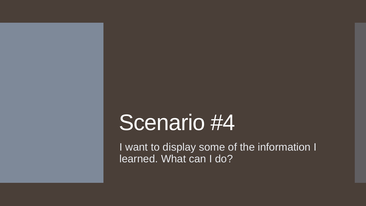I want to display some of the information I learned. What can I do?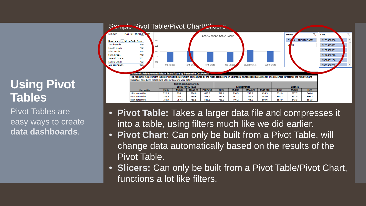#### **Using Pivot Tables**

Pivot Tables are easy ways to create **data dashboards**.



- **Pivot Table:** Takes a larger data file and compresses it into a table, using filters much like we did earlier.
- **Pivot Chart:** Can only be built from a Pivot Table, will change data automatically based on the results of the Pivot Table.
- **Slicers:** Can only be built from a Pivot Table/Pivot Chart, functions a lot like filters.